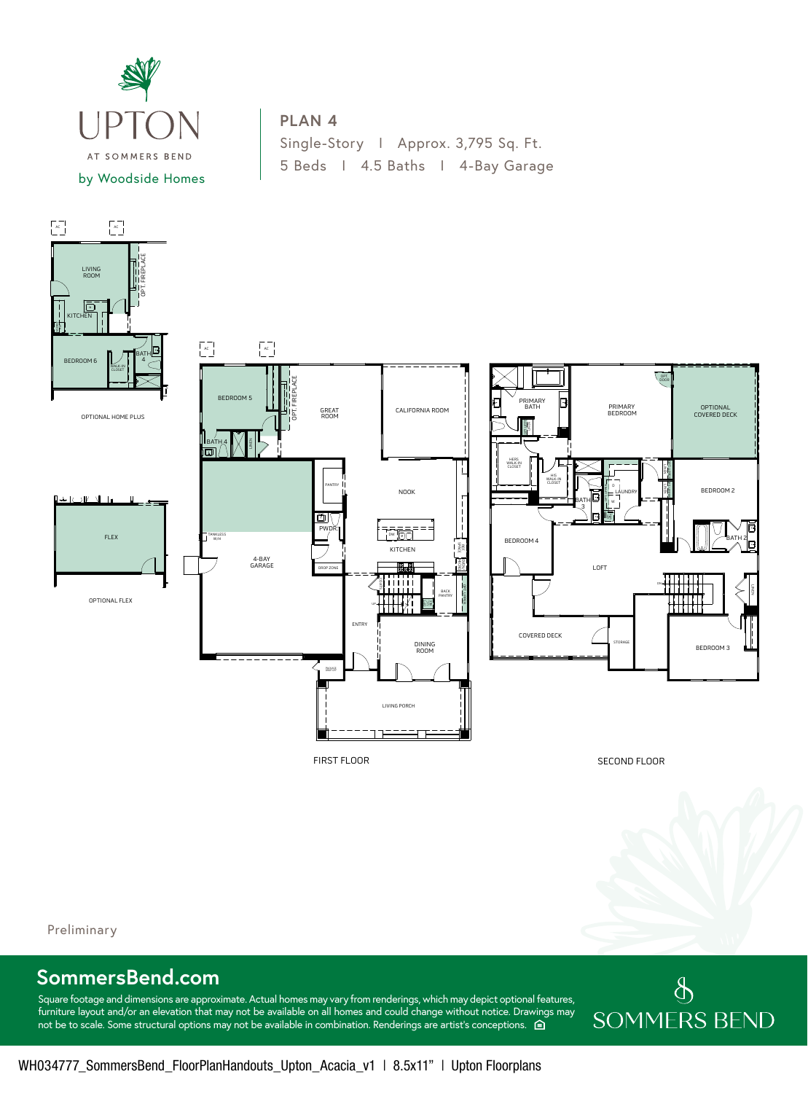

## **PLAN 4**

Single-Story I Approx. 3,795 Sq. Ft. 5 Beds I 4.5 Baths I 4-Bay Garage



Preliminary 4

## **SommersBend.com**

Square footage and dimensions are approximate. Actual homes may vary from renderings, which may depict optional features, furniture layout and/or an elevation that may not be available on all homes and could change without notice. Drawings may not be to scale. Some structural options may not be available in combination. Renderings are artist's conceptions.  $\hat{p}$ 

## $\oint$ **SOMMERS BEND**